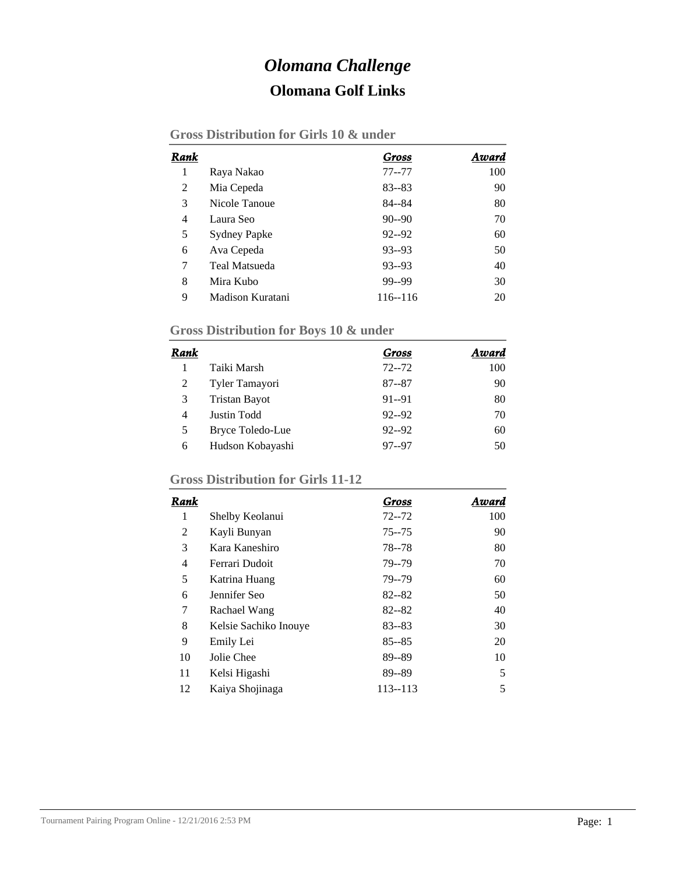# *Olomana Challenge* **Olomana Golf Links**

| Rank |                      | Gross     | Award |
|------|----------------------|-----------|-------|
| 1    | Raya Nakao           | $77 - 77$ | 100   |
| 2    | Mia Cepeda           | $83 - 83$ | 90    |
| 3    | Nicole Tanoue        | $84 - 84$ | 80    |
| 4    | Laura Seo            | $90 - 90$ | 70    |
| 5    | <b>Sydney Papke</b>  | $92 - 92$ | 60    |
| 6    | Ava Cepeda           | $93 - 93$ | 50    |
| 7    | <b>Teal Matsueda</b> | $93 - 93$ | 40    |
| 8    | Mira Kubo            | 99--99    | 30    |
| 9    | Madison Kuratani     | 116--116  | 20    |

### **Gross Distribution for Girls 10 & under**

### **Gross Distribution for Boys 10 & under**

| Rank |                      | Gross     | Award |
|------|----------------------|-----------|-------|
|      | Taiki Marsh          | $72 - 72$ | 100   |
| 2    | Tyler Tamayori       | $87 - 87$ | 90    |
| 3    | <b>Tristan Bayot</b> | $91 - 91$ | 80    |
| 4    | Justin Todd          | $92 - 92$ | 70    |
| 5    | Bryce Toledo-Lue     | $92 - 92$ | 60    |
| 6    | Hudson Kobayashi     | $97 - 97$ | 50    |

#### **Gross Distribution for Girls 11-12**

| Rank |                       | Gross       | Award |
|------|-----------------------|-------------|-------|
| 1    | Shelby Keolanui       | $72 - 72$   | 100   |
| 2    | Kayli Bunyan          | $75 - 75$   | 90    |
| 3    | Kara Kaneshiro        | $78 - 78$   | 80    |
| 4    | Ferrari Dudoit        | 79--79      | 70    |
| 5    | Katrina Huang         | 79--79      | 60    |
| 6    | Jennifer Seo          | $82 - 82$   | 50    |
| 7    | Rachael Wang          | $82 - 82$   | 40    |
| 8    | Kelsie Sachiko Inouye | $83 - 83$   | 30    |
| 9    | Emily Lei             | $85 - 85$   | 20    |
| 10   | Jolie Chee            | 89--89      | 10    |
| 11   | Kelsi Higashi         | 89--89      | 5     |
| 12   | Kaiya Shojinaga       | $113 - 113$ | 5     |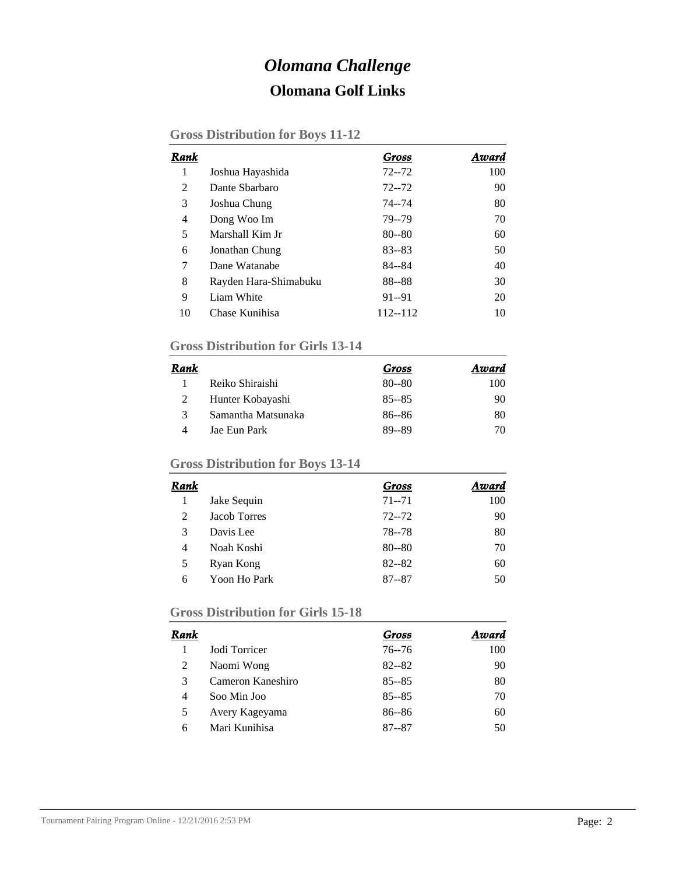# *Olomana Challenge* **Olomana Golf Links**

|  | <b>Gross Distribution for Boys 11-12</b> |  |  |  |
|--|------------------------------------------|--|--|--|
|--|------------------------------------------|--|--|--|

| Rank |                       | Gross     | Award |
|------|-----------------------|-----------|-------|
| 1    | Joshua Hayashida      | $72 - 72$ | 100   |
| 2    | Dante Sharbaro        | $72 - 72$ | 90    |
| 3    | Joshua Chung          | 74--74    | 80    |
| 4    | Dong Woo Im           | 79--79    | 70    |
| 5    | Marshall Kim Jr       | $80 - 80$ | 60    |
| 6    | Jonathan Chung        | $83 - 83$ | 50    |
| 7    | Dane Watanabe         | 84--84    | 40    |
| 8    | Rayden Hara-Shimabuku | 88--88    | 30    |
| 9    | Liam White            | $91 - 91$ | 20    |
| 10   | Chase Kunihisa        | 112--112  | 10    |

#### **Gross Distribution for Girls 13-14**

| Rank |                    | Gross     | Award |
|------|--------------------|-----------|-------|
|      | Reiko Shiraishi    | $80 - 80$ | 100   |
|      | Hunter Kobayashi   | $85 - 85$ | 90    |
| 3    | Samantha Matsunaka | $86 - 86$ | 80    |
| Δ    | Jae Eun Park       | 89--89    | 70    |

# **Gross Distribution for Boys 13-14**

| Rank |                     | Gross     | Award |
|------|---------------------|-----------|-------|
|      | Jake Sequin         | $71 - 71$ | 100   |
| 2    | <b>Jacob Torres</b> | $72 - 72$ | 90    |
| 3    | Davis Lee           | 78 - 78   | 80    |
| 4    | Noah Koshi          | $80 - 80$ | 70    |
| 5    | Ryan Kong           | $82 - 82$ | 60    |
| 6    | Yoon Ho Park        | $87 - 87$ | 50    |

#### **Gross Distribution for Girls 15-18**

| Rank |                   | Gross     | Award |
|------|-------------------|-----------|-------|
|      | Jodi Torricer     | $76 - 76$ | 100   |
| 2    | Naomi Wong        | $82 - 82$ | 90    |
| 3    | Cameron Kaneshiro | $85 - 85$ | 80    |
| 4    | Soo Min Joo       | $85 - 85$ | 70    |
| 5    | Avery Kageyama    | $86 - 86$ | 60    |
| 6    | Mari Kunihisa     | $87 - 87$ | 50    |